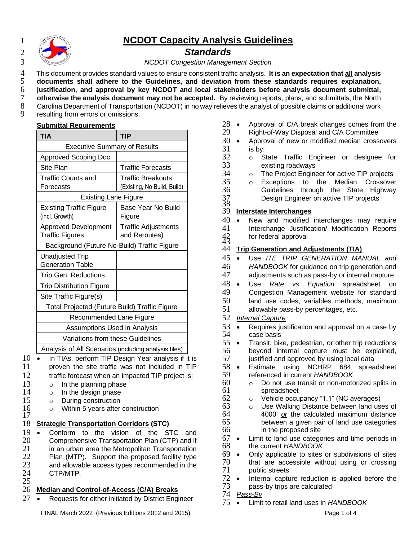

# 1 **NCDOT Capacity Analysis Guidelines**

2 *Standards*

3 *NCDOT Congestion Management Section*

4 This document provides standard values to ensure consistent traffic analysis. **It is an expectation that all analysis** 

5 **documents shall adhere to the Guidelines, and deviation from these standards requires explanation,** 

- 6 **justification, and approval by key NCDOT and local stakeholders before analysis document submittal,**
- 7 **otherwise the analysis document may not be accepted.** By reviewing reports, plans, and submittals, the North<br>8 Carolina Department of Transportation (NCDOT) in no way relieves the analyst of possible claims or additiona 8 Carolina Department of Transportation (NCDOT) in no way relieves the analyst of possible claims or additional work<br>9 resulting from errors or omissions.
	- resulting from errors or omissions.

|  |  | <b>Submittal Requirements</b> |
|--|--|-------------------------------|
|--|--|-------------------------------|

| <b>TIA</b>                                            | <b>TIP</b>                                       |  |
|-------------------------------------------------------|--------------------------------------------------|--|
| <b>Executive Summary of Results</b>                   |                                                  |  |
| Approved Scoping Doc.                                 |                                                  |  |
| Site Plan                                             | <b>Traffic Forecasts</b>                         |  |
| Traffic Counts and<br>Forecasts                       | Traffic Breakouts<br>(Existing, No Build, Build) |  |
| <b>Existing Lane Figure</b>                           |                                                  |  |
| <b>Existing Traffic Figure</b><br>(incl. Growth)      | Base Year No Build<br>Figure                     |  |
| <b>Approved Development</b><br><b>Traffic Figures</b> | <b>Traffic Adjustments</b><br>and Reroutes)      |  |
| Background (Future No-Build) Traffic Figure           |                                                  |  |
| <b>Unadjusted Trip</b><br><b>Generation Table</b>     |                                                  |  |
| <b>Trip Gen. Reductions</b>                           |                                                  |  |
| <b>Trip Distribution Figure</b>                       |                                                  |  |
| Site Traffic Figure(s)                                |                                                  |  |
| Total Projected (Future Build) Traffic Figure         |                                                  |  |
| Recommended Lane Figure                               |                                                  |  |
| <b>Assumptions Used in Analysis</b>                   |                                                  |  |
| Variations from these Guidelines                      |                                                  |  |
| Analysis of All Scenarios (including analysis files)  |                                                  |  |

10 • In TIAs, perform TIP Design Year analysis if it is

- 11 proven the site traffic was not included in TIP
- 12 traffic forecast when an impacted TIP project is:
- 13 o In the planning phase
- $\begin{array}{ccc} 14 & \circ & \text{In the design phase} \\ 15 & \circ & \text{During construction} \end{array}$ 
	- $\circ$  During construction

17

16 o Within 5 years after construction

# 18 **Strategic Transportation Corridors (STC)**

19 • Conform to the vision of the STC and<br>20 Comprehensive Transportation Plan (CTP) and if 20 Comprehensive Transportation Plan (CTP) and if<br>21 in an urban area the Metropolitan Transportation in an urban area the Metropolitan Transportation 22 Plan (MTP). Support the proposed facility type<br>23 and allowable access types recommended in the 23 and allowable access types recommended in the <br>24 CTP/MTP. CTP/MTP. 25

# 26 **Median and Control-of-Access (C/A) Breaks**

27 • Requests for either initiated by District Engineer

- 28 Approval of C/A break changes comes from the 29 Right-of-Way Disposal and C/A Committee 29 Right-of-Way Disposal and C/A Committee<br>30 • Approval of new or modified median cross
- 30 Approval of new or modified median crossovers<br>31 is by:  $\begin{array}{ccc} 31 & \text{is by:} \\ 32 & \text{o} & \text{S} \end{array}$
- $32$  o State Traffic Engineer or designee for<br> $33$  existing roadways existing roadways
- 34 o The Project Engineer for active TIP projects
- 35 o Exceptions to the Median Crossover 36 Guidelines through the State Highway Design Engineer on active TIP projects

# 37<br>38<br>39 39 **Interstate Interchanges**

40 • New and modified interchanges may require<br>41 Interchange Justification/ Modification Reports 41 Interchange Justification/ Modification Reports<br>42 for federal approval for federal approval

## 44 **Trip Generation and Adjustments (TIA)**

- 45 Use *ITE TRIP GENERATION MANUAL and*  HANDBOOK for guidance on trip generation and 47 adjustments such as pass-by or internal capture
- 48 Use *Rate vs Equation* spreadsheet on 49 Congestion Management website for standard<br>50 Iand use codes variables methods, maximum land use codes, variables methods, maximum 51 allowable pass-by percentages, etc.
- 52 *Internal Capture*
- 53 Requires justification and approval on a case by<br>54 case basis 54 case basis<br>55 · Transit, bik
- 55 Transit, bike, pedestrian, or other trip reductions<br>56 bevond internal capture must be explained. beyond internal capture must be explained, 57 justified and approved by using local data
- 58 Estimate using NCHRP 684 spreadsheet<br>59 referenced in current HANDBOOK 59 referenced in current *HANDBOOK*
- $60$  o Do not use transit or non-motorized splits in  $61$  spreadsheet spreadsheet
- $62$  o Vehicle occupancy "1.1" (NC averages)<br> $63$  o Use Walking Distance between land us
- $63$  o Use Walking Distance between land uses of  $64$  4000' or the calculated maximum distance 64 4000' *or* the calculated maximum distance 65 between a given pair of land use categories 66 in the proposed site
- 67 Limit to land use categories and time periods in 68 the current *HANDBOOK*
- 69 Only applicable to sites or subdivisions of sites 70 that are accessible without using or crossing public streets
- 72 Internal capture reduction is applied before the pass-by trips are calculated
- 74 *Pass-By*
- 75 Limit to retail land uses in *HANDBOOK*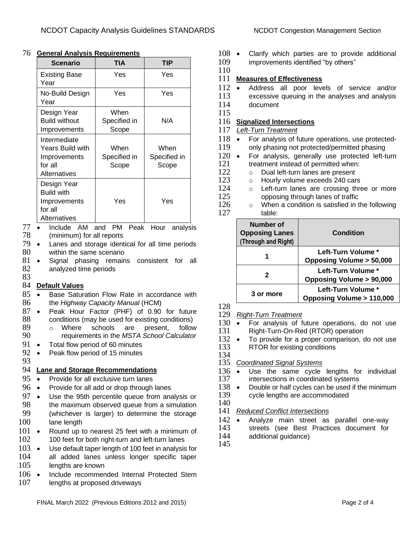| <b>Scenario</b>                                                             | <b>TIA</b>                    | TIP                           |
|-----------------------------------------------------------------------------|-------------------------------|-------------------------------|
| Existing Base<br>Year                                                       | Yes                           | Yes                           |
| No-Build Design<br>Year                                                     | Yes                           | Yes                           |
| Design Year<br><b>Build without</b><br>Improvements                         | When<br>Specified in<br>Scope | N/A                           |
| Intermediate<br>Years Build with<br>Improvements<br>for all<br>Alternatives | When<br>Specified in<br>Scope | When<br>Specified in<br>Scope |
| Design Year<br><b>Build with</b><br>Improvements<br>for all<br>Alternatives | Yes                           | Yes                           |

#### 76 **General Analysis Requirements**

77 • Include AM and PM Peak Hour analysis 78 (minimum) for all reports

- 79 Lanes and storage identical for all time periods within the same scenario
- 81 Signal phasing remains consistent for all 82 analyzed time periods 83

#### 84 **Default Values**

- 85 Base Saturation Flow Rate in accordance with 86 the *Highway Capacity Manual* (HCM)
- 87 Peak Hour Factor (PHF) of 0.90 for future 88 conditions (may be used for existing conditions)<br>89  $\circ$  Where schools are present, follow
- o Where schools are present, follow 90 requirements in the *MSTA School Calculator*<br>91 • Total flow period of 60 minutes
- Total flow period of 60 minutes
- 92 Peak flow period of 15 minutes 93

### 94 **Lane and Storage Recommendations**

- 95 Provide for all exclusive turn lanes
- 96 Provide for all add or drop through lanes
- 97 Use the 95th percentile queue from analysis or 98 the maximum observed queue from a simulation the maximum observed queue from a simulation 99 (whichever is larger) to determine the storage 100 lane length
- 101 Round up to nearest 25 feet with a minimum of 102 100 feet for both right-turn and left-turn lanes
- 103 Use default taper length of 100 feet in analysis for
- 104 all added lanes unless longer specific taper 105 lengths are known
- 106 Include recommended Internal Protected Stem 107 lengths at proposed driveways

- 108 Clarify which parties are to provide additional 109 improvements identified "by others"
- 110

#### 111 **Measures of Effectiveness**

- 112 Address all poor levels of service and/or
- 113 excessive queuing in the analyses and analysis 114 document

# 115

# 116 **Signalized Intersections**

- 117 *Left-Turn Treatment*
- 118 For analysis of future operations, use protected-119 only phasing not protected/permitted phasing
- 120 For analysis, generally use protected left-turn 121 treatment instead of permitted when:<br>122  $\qquad \circ$  Dual left-turn lanes are present
- $122$  o Dual left-turn lanes are present  $123$  o Hourly volume exceeds 240 car
	-
- 123 o Hourly volume exceeds 240 cars<br>124 o Left-turn lanes are crossing three  $124$  o Left-turn lanes are crossing three or more  $125$  opposing through lanes of traffic 125 opposing through lanes of traffic<br>126  $\circ$  When a condition is satisfied in t
- $\circ$  When a condition is satisfied in the following 127 table:

| Number of<br><b>Opposing Lanes</b><br>(Through and Right) | Condition                                                |
|-----------------------------------------------------------|----------------------------------------------------------|
| 1                                                         | Left-Turn Volume *<br><b>Opposing Volume &gt; 50,000</b> |
| 2                                                         | Left-Turn Volume *<br><b>Opposing Volume &gt; 90,000</b> |
| 3 or more                                                 | Left-Turn Volume *<br>Opposing Volume > 110,000          |

128

- 129 *Right-Turn Treatment*
- 130 For analysis of future operations, do not use<br>131 Right-Turn-On-Red (RTOR) operation
- 131 Right-Turn-On-Red (RTOR) operation<br>132 To provide for a proper comparison.
- 132 To provide for a proper comparison, do not use 133 RTOR for existing conditions RTOR for existing conditions
- 134

### 135 *Coordinated Signal Systems*

- 136 Use the same cycle lengths for individual 137 intersections in coordinated systems intersections in coordinated systems
- 138 Double or half cycles can be used if the minimum
- 139 cycle lengths are accommodated 140

#### 141 *Reduced Conflict Intersections*

- 142 Analyze main street as parallel one-way
- 143 streets (see Best Practices document for 144 additional quidance)
- additional guidance)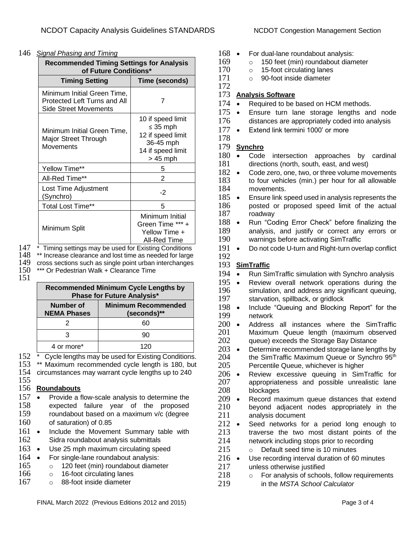#### 146 *Signal Phasing and Timing*

| <b>Recommended Timing Settings for Analysis</b><br>of Future Conditions*             |                                                                                                        |
|--------------------------------------------------------------------------------------|--------------------------------------------------------------------------------------------------------|
| <b>Timing Setting</b>                                                                | Time (seconds)                                                                                         |
| Minimum Initial Green Time,<br>Protected Left Turns and All<br>Side Street Movements | 7                                                                                                      |
| Minimum Initial Green Time,<br>Major Street Through<br><b>Movements</b>              | 10 if speed limit<br>$\leq$ 35 mph<br>12 if speed limit<br>36-45 mph<br>14 if speed limit<br>$>45$ mph |
| Yellow Time**                                                                        | 5                                                                                                      |
| All-Red Time**                                                                       | 2                                                                                                      |
| Lost Time Adjustment<br>(Synchro)                                                    | -2                                                                                                     |
| <b>Total Lost Time**</b>                                                             | 5                                                                                                      |
| Minimum Split                                                                        | Minimum Initial<br>Green Time *** +<br>Yellow Time +<br>All-Red Time                                   |

147 \* Timing settings may be used for Existing Conditions 148 \*\* Increase clearance and lost time as needed for large

148 \*\* Increase clearance and lost time as needed for large<br>149 cross sections such as single point urban interchanges

149 cross sections such as single point urban interchanges<br>150 \*\*\* Or Pedestrian Walk + Clearance Time \*\*\* Or Pedestrian Walk + Clearance Time

151

|                                   | Recommended Minimum Cycle Lengths by |
|-----------------------------------|--------------------------------------|
| <b>Phase for Future Analysis*</b> |                                      |
|                                   |                                      |

| Number of<br><b>NEMA Phases</b> | <b>Minimum Recommended</b><br>(seconds)** |
|---------------------------------|-------------------------------------------|
|                                 | 60                                        |
|                                 | 90                                        |
| 4 or more*                      | 120                                       |

152 \* Cycle lengths may be used for Existing Conditions.<br>153 \*\* Maximum recommended cycle length is 180. but

153 \*\* Maximum recommended cycle length is 180, but 154 circumstances may warrant cycle lengths up to 240 circumstances may warrant cycle lengths up to 240

#### 155 156 **Roundabouts**

- 157 Provide a flow-scale analysis to determine the 158 expected failure vear of the proposed expected failure year of the proposed
- 159 roundabout based on a maximum v/c (degree 160 of saturation) of 0.85
- 161 Include the Movement Summary table with 162 Sidra roundabout analysis submittals
- 163 Use 25 mph maximum circulating speed
- 164 For single-lane roundabout analysis:
- 165 o 120 feet (min) roundabout diameter
- 166 o 16-foot circulating lanes
- 167 o 88-foot inside diameter
- 168 For dual-lane roundabout analysis:<br>169  $\qquad \qquad \circ$  150 feet (min) roundabout diam
- $169$  o 150 feet (min) roundabout diameter<br> $170$  o 15-foot circulating lanes
	- $\circ$  15-foot circulating lanes
- 171 o 90-foot inside diameter

## 173 **Analysis Software**

- 174 Required to be based on HCM methods.
- 175 Ensure turn lane storage lengths and node 176 distances are appropriately coded into analysis
- 177 Extend link termini 1000' or more

#### 178 179 **Synchro**

172

- 180 Code intersection approaches by cardinal 181 directions (north south east and west) directions (north, south, east, and west)
- 182 Code zero, one, two, or three volume movements 183 to four vehicles (min.) per hour for all allowable 184 movements.
- 185 Ensure link speed used in analysis represents the 186 posted or proposed speed limit of the actual 187 roadway roadway
- 188 Run "Coding Error Check" before finalizing the 189 analysis, and justify or correct any errors or 190 warnings before activating SimTraffic<br>191 • Do not code U-turn and Right-turn ove
- Do not code U-turn and Right-turn overlap conflict 192

### 193 **SimTraffic**

- 194 Run SimTraffic simulation with Synchro analysis
- 195 Review overall network operations during the 196 simulation, and address any significant queuing,<br>197 starvation, spillback, or gridlock starvation, spillback, or gridlock
- 198 Include "Queuing and Blocking Report" for the 199 199 network<br>200 · Address
- 200 Address all instances where the SimTraffic<br>201 Maximum Queue length (maximum observed Maximum Queue length (maximum observed 202 queue) exceeds the Storage Bay Distance
- 203 Determine recommended storage lane lengths by  $204$  the SimTraffic Maximum Queue or Synchro 95<sup>th</sup> 204 the SimTraffic Maximum Queue or Synchro  $95<sup>th</sup>$ <br>205 Percentile Queue, whichever is higher Percentile Queue, whichever is higher
- 206 Review excessive queuing in SimTraffic for 207 appropriateness and possible unrealistic lane<br>208 blockages blockages
- 209 Record maximum queue distances that extend<br>210 bevond adiacent nodes appropriately in the beyond adjacent nodes appropriately in the 211 analysis document
- 212 Seed networks for a period long enough to<br>213 traverse the two most distant points of the traverse the two most distant points of the 214 network including stops prior to recording
- 215 o Default seed time is 10 minutes
- 216 Use recording interval duration of 60 minutes
- 217 unless otherwise justified<br>218  $\qquad \circ$  For analysis of school
	- $\circ$  For analysis of schools, follow requirements
- 219 in the *MSTA School Calculator*